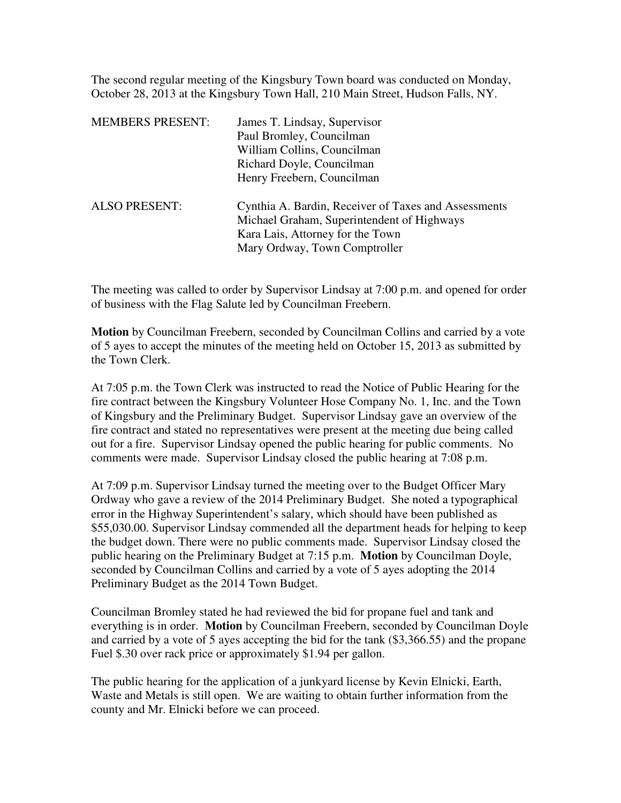The second regular meeting of the Kingsbury Town board was conducted on Monday, October 28, 2013 at the Kingsbury Town Hall, 210 Main Street, Hudson Falls, NY.

| <b>MEMBERS PRESENT:</b> | James T. Lindsay, Supervisor                                                                                                                                            |
|-------------------------|-------------------------------------------------------------------------------------------------------------------------------------------------------------------------|
|                         | Paul Bromley, Councilman                                                                                                                                                |
|                         | William Collins, Councilman                                                                                                                                             |
|                         | Richard Doyle, Councilman                                                                                                                                               |
|                         | Henry Freebern, Councilman                                                                                                                                              |
| <b>ALSO PRESENT:</b>    | Cynthia A. Bardin, Receiver of Taxes and Assessments<br>Michael Graham, Superintendent of Highways<br>Kara Lais, Attorney for the Town<br>Mary Ordway, Town Comptroller |

The meeting was called to order by Supervisor Lindsay at 7:00 p.m. and opened for order of business with the Flag Salute led by Councilman Freebern.

**Motion** by Councilman Freebern, seconded by Councilman Collins and carried by a vote of 5 ayes to accept the minutes of the meeting held on October 15, 2013 as submitted by the Town Clerk.

At 7:05 p.m. the Town Clerk was instructed to read the Notice of Public Hearing for the fire contract between the Kingsbury Volunteer Hose Company No. 1, Inc. and the Town of Kingsbury and the Preliminary Budget. Supervisor Lindsay gave an overview of the fire contract and stated no representatives were present at the meeting due being called out for a fire. Supervisor Lindsay opened the public hearing for public comments. No comments were made. Supervisor Lindsay closed the public hearing at 7:08 p.m.

At 7:09 p.m. Supervisor Lindsay turned the meeting over to the Budget Officer Mary Ordway who gave a review of the 2014 Preliminary Budget. She noted a typographical error in the Highway Superintendent's salary, which should have been published as \$55,030.00. Supervisor Lindsay commended all the department heads for helping to keep the budget down. There were no public comments made. Supervisor Lindsay closed the public hearing on the Preliminary Budget at 7:15 p.m. **Motion** by Councilman Doyle, seconded by Councilman Collins and carried by a vote of 5 ayes adopting the 2014 Preliminary Budget as the 2014 Town Budget.

Councilman Bromley stated he had reviewed the bid for propane fuel and tank and everything is in order. **Motion** by Councilman Freebern, seconded by Councilman Doyle and carried by a vote of 5 ayes accepting the bid for the tank (\$3,366.55) and the propane Fuel \$.30 over rack price or approximately \$1.94 per gallon.

The public hearing for the application of a junkyard license by Kevin Elnicki, Earth, Waste and Metals is still open. We are waiting to obtain further information from the county and Mr. Elnicki before we can proceed.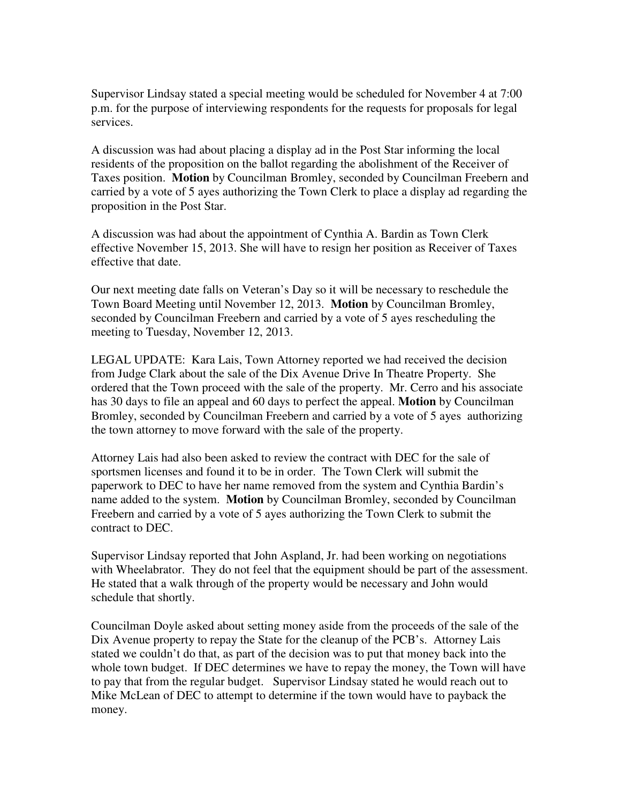Supervisor Lindsay stated a special meeting would be scheduled for November 4 at 7:00 p.m. for the purpose of interviewing respondents for the requests for proposals for legal services.

A discussion was had about placing a display ad in the Post Star informing the local residents of the proposition on the ballot regarding the abolishment of the Receiver of Taxes position. **Motion** by Councilman Bromley, seconded by Councilman Freebern and carried by a vote of 5 ayes authorizing the Town Clerk to place a display ad regarding the proposition in the Post Star.

A discussion was had about the appointment of Cynthia A. Bardin as Town Clerk effective November 15, 2013. She will have to resign her position as Receiver of Taxes effective that date.

Our next meeting date falls on Veteran's Day so it will be necessary to reschedule the Town Board Meeting until November 12, 2013. **Motion** by Councilman Bromley, seconded by Councilman Freebern and carried by a vote of 5 ayes rescheduling the meeting to Tuesday, November 12, 2013.

LEGAL UPDATE: Kara Lais, Town Attorney reported we had received the decision from Judge Clark about the sale of the Dix Avenue Drive In Theatre Property. She ordered that the Town proceed with the sale of the property. Mr. Cerro and his associate has 30 days to file an appeal and 60 days to perfect the appeal. **Motion** by Councilman Bromley, seconded by Councilman Freebern and carried by a vote of 5 ayes authorizing the town attorney to move forward with the sale of the property.

Attorney Lais had also been asked to review the contract with DEC for the sale of sportsmen licenses and found it to be in order. The Town Clerk will submit the paperwork to DEC to have her name removed from the system and Cynthia Bardin's name added to the system. **Motion** by Councilman Bromley, seconded by Councilman Freebern and carried by a vote of 5 ayes authorizing the Town Clerk to submit the contract to DEC.

Supervisor Lindsay reported that John Aspland, Jr. had been working on negotiations with Wheelabrator. They do not feel that the equipment should be part of the assessment. He stated that a walk through of the property would be necessary and John would schedule that shortly.

Councilman Doyle asked about setting money aside from the proceeds of the sale of the Dix Avenue property to repay the State for the cleanup of the PCB's. Attorney Lais stated we couldn't do that, as part of the decision was to put that money back into the whole town budget. If DEC determines we have to repay the money, the Town will have to pay that from the regular budget. Supervisor Lindsay stated he would reach out to Mike McLean of DEC to attempt to determine if the town would have to payback the money.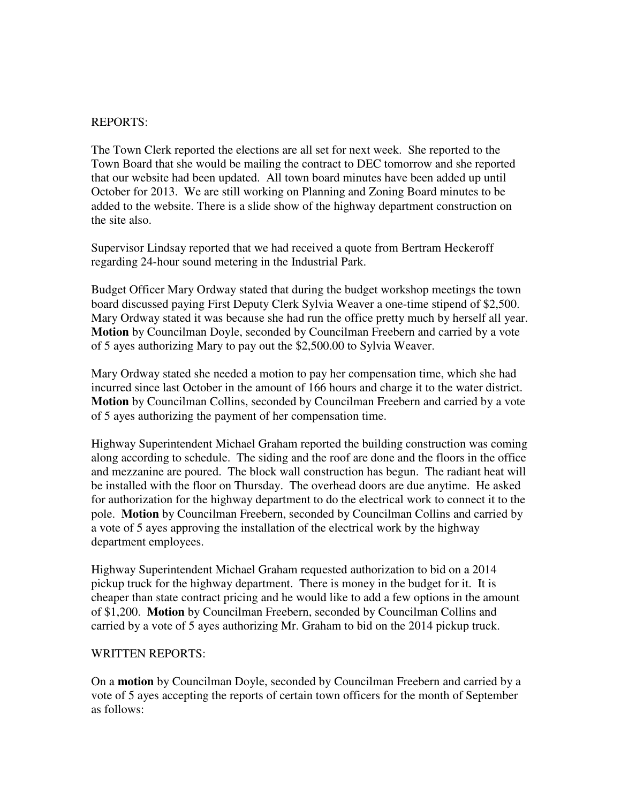## REPORTS:

The Town Clerk reported the elections are all set for next week. She reported to the Town Board that she would be mailing the contract to DEC tomorrow and she reported that our website had been updated. All town board minutes have been added up until October for 2013. We are still working on Planning and Zoning Board minutes to be added to the website. There is a slide show of the highway department construction on the site also.

Supervisor Lindsay reported that we had received a quote from Bertram Heckeroff regarding 24-hour sound metering in the Industrial Park.

Budget Officer Mary Ordway stated that during the budget workshop meetings the town board discussed paying First Deputy Clerk Sylvia Weaver a one-time stipend of \$2,500. Mary Ordway stated it was because she had run the office pretty much by herself all year. **Motion** by Councilman Doyle, seconded by Councilman Freebern and carried by a vote of 5 ayes authorizing Mary to pay out the \$2,500.00 to Sylvia Weaver.

Mary Ordway stated she needed a motion to pay her compensation time, which she had incurred since last October in the amount of 166 hours and charge it to the water district. **Motion** by Councilman Collins, seconded by Councilman Freebern and carried by a vote of 5 ayes authorizing the payment of her compensation time.

Highway Superintendent Michael Graham reported the building construction was coming along according to schedule. The siding and the roof are done and the floors in the office and mezzanine are poured. The block wall construction has begun. The radiant heat will be installed with the floor on Thursday. The overhead doors are due anytime. He asked for authorization for the highway department to do the electrical work to connect it to the pole. **Motion** by Councilman Freebern, seconded by Councilman Collins and carried by a vote of 5 ayes approving the installation of the electrical work by the highway department employees.

Highway Superintendent Michael Graham requested authorization to bid on a 2014 pickup truck for the highway department. There is money in the budget for it. It is cheaper than state contract pricing and he would like to add a few options in the amount of \$1,200. **Motion** by Councilman Freebern, seconded by Councilman Collins and carried by a vote of 5 ayes authorizing Mr. Graham to bid on the 2014 pickup truck.

## WRITTEN REPORTS:

On a **motion** by Councilman Doyle, seconded by Councilman Freebern and carried by a vote of 5 ayes accepting the reports of certain town officers for the month of September as follows: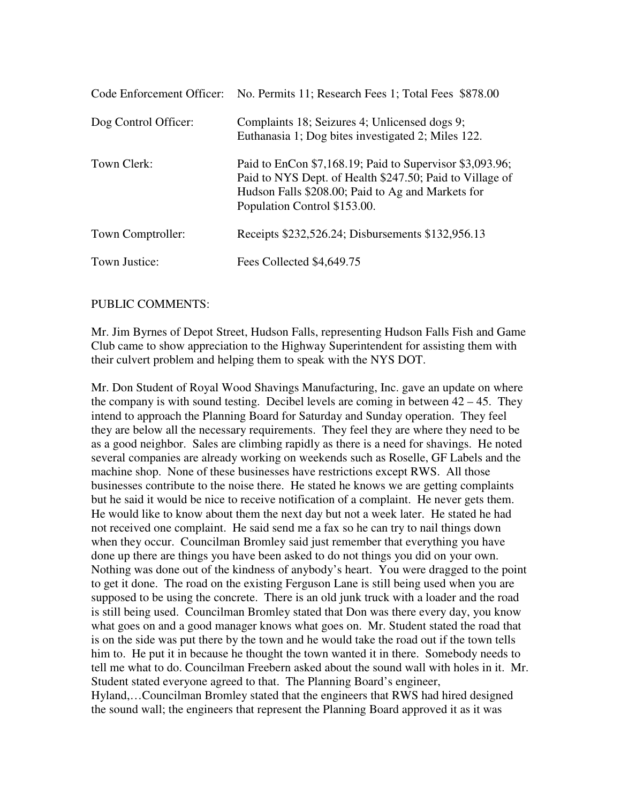|                      | Code Enforcement Officer: No. Permits 11; Research Fees 1; Total Fees \$878.00                                                                                                                            |
|----------------------|-----------------------------------------------------------------------------------------------------------------------------------------------------------------------------------------------------------|
| Dog Control Officer: | Complaints 18; Seizures 4; Unlicensed dogs 9;<br>Euthanasia 1; Dog bites investigated 2; Miles 122.                                                                                                       |
| Town Clerk:          | Paid to EnCon \$7,168.19; Paid to Supervisor \$3,093.96;<br>Paid to NYS Dept. of Health \$247.50; Paid to Village of<br>Hudson Falls \$208.00; Paid to Ag and Markets for<br>Population Control \$153.00. |
| Town Comptroller:    | Receipts \$232,526.24; Disbursements \$132,956.13                                                                                                                                                         |
| Town Justice:        | Fees Collected \$4,649.75                                                                                                                                                                                 |

## PUBLIC COMMENTS:

Mr. Jim Byrnes of Depot Street, Hudson Falls, representing Hudson Falls Fish and Game Club came to show appreciation to the Highway Superintendent for assisting them with their culvert problem and helping them to speak with the NYS DOT.

Mr. Don Student of Royal Wood Shavings Manufacturing, Inc. gave an update on where the company is with sound testing. Decibel levels are coming in between  $42 - 45$ . They intend to approach the Planning Board for Saturday and Sunday operation. They feel they are below all the necessary requirements. They feel they are where they need to be as a good neighbor. Sales are climbing rapidly as there is a need for shavings. He noted several companies are already working on weekends such as Roselle, GF Labels and the machine shop. None of these businesses have restrictions except RWS. All those businesses contribute to the noise there. He stated he knows we are getting complaints but he said it would be nice to receive notification of a complaint. He never gets them. He would like to know about them the next day but not a week later. He stated he had not received one complaint. He said send me a fax so he can try to nail things down when they occur. Councilman Bromley said just remember that everything you have done up there are things you have been asked to do not things you did on your own. Nothing was done out of the kindness of anybody's heart. You were dragged to the point to get it done. The road on the existing Ferguson Lane is still being used when you are supposed to be using the concrete. There is an old junk truck with a loader and the road is still being used. Councilman Bromley stated that Don was there every day, you know what goes on and a good manager knows what goes on. Mr. Student stated the road that is on the side was put there by the town and he would take the road out if the town tells him to. He put it in because he thought the town wanted it in there. Somebody needs to tell me what to do. Councilman Freebern asked about the sound wall with holes in it. Mr. Student stated everyone agreed to that. The Planning Board's engineer, Hyland,…Councilman Bromley stated that the engineers that RWS had hired designed the sound wall; the engineers that represent the Planning Board approved it as it was